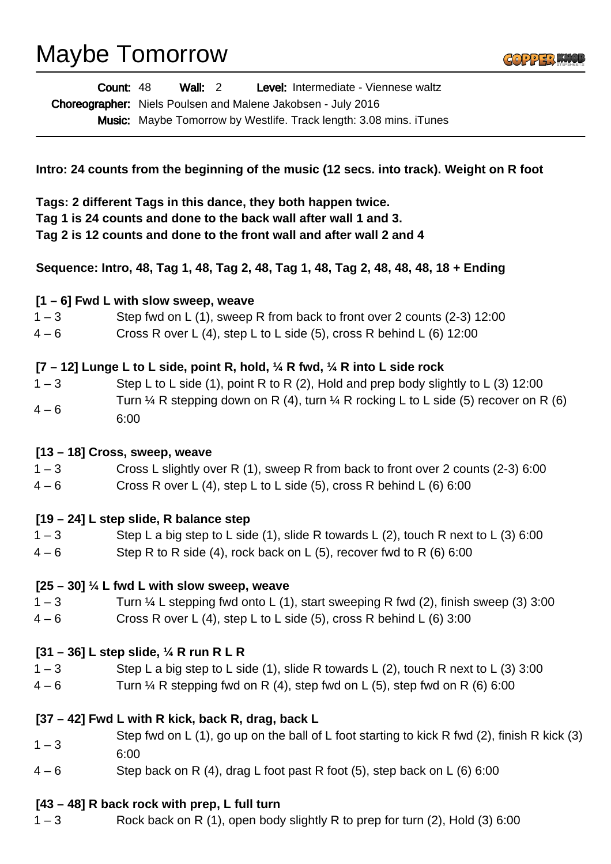# Maybe Tomorrow



| <b>Count: 48</b> | Wall: $2$ | Level: Intermediate - Viennese waltz                                      |
|------------------|-----------|---------------------------------------------------------------------------|
|                  |           | <b>Choreographer:</b> Niels Poulsen and Malene Jakobsen - July 2016       |
|                  |           | <b>Music:</b> Maybe Tomorrow by Westlife. Track length: 3.08 mins. iTunes |

**Intro: 24 counts from the beginning of the music (12 secs. into track). Weight on R foot**

**Tags: 2 different Tags in this dance, they both happen twice. Tag 1 is 24 counts and done to the back wall after wall 1 and 3. Tag 2 is 12 counts and done to the front wall and after wall 2 and 4**

**Sequence: Intro, 48, Tag 1, 48, Tag 2, 48, Tag 1, 48, Tag 2, 48, 48, 48, 18 + Ending**

#### **[1 – 6] Fwd L with slow sweep, weave**

- 1 3 Step fwd on L (1), sweep R from back to front over 2 counts (2-3) 12:00
- $4 6$  Cross R over L (4), step L to L side (5), cross R behind L (6) 12:00

### **[7 – 12] Lunge L to L side, point R, hold, ¼ R fwd, ¼ R into L side rock**

 $1 - 3$  Step L to L side (1), point R to R (2), Hold and prep body slightly to L (3) 12:00  $4 - 6$ Turn  $\frac{1}{4}$  R stepping down on R (4), turn  $\frac{1}{4}$  R rocking L to L side (5) recover on R (6) 6:00

#### **[13 – 18] Cross, sweep, weave**

- 1 3 Cross L slightly over R (1), sweep R from back to front over 2 counts (2-3) 6:00
- $4-6$  Cross R over L (4), step L to L side (5), cross R behind L (6) 6:00

#### **[19 – 24] L step slide, R balance step**

- $1 3$  Step L a big step to L side (1), slide R towards L (2), touch R next to L (3) 6:00
- $4-6$  Step R to R side (4), rock back on L (5), recover fwd to R (6) 6:00

#### **[25 – 30] ¼ L fwd L with slow sweep, weave**

- $1 3$  Turn  $\frac{1}{4}$  L stepping fwd onto L (1), start sweeping R fwd (2), finish sweep (3) 3:00
- $4-6$  Cross R over L (4), step L to L side (5), cross R behind L (6) 3:00

#### **[31 – 36] L step slide, ¼ R run R L R**

- $1-3$  Step L a big step to L side (1), slide R towards L (2), touch R next to L (3) 3:00
- $4-6$  Turn  $\frac{1}{4}$  R stepping fwd on R (4), step fwd on L (5), step fwd on R (6) 6:00

#### **[37 – 42] Fwd L with R kick, back R, drag, back L**

- $1 3$ Step fwd on L (1), go up on the ball of L foot starting to kick R fwd (2), finish R kick (3) 6:00
- $4-6$  Step back on R (4), drag L foot past R foot (5), step back on L (6) 6:00

#### **[43 – 48] R back rock with prep, L full turn**

1 – 3 Rock back on R (1), open body slightly R to prep for turn (2), Hold (3) 6:00